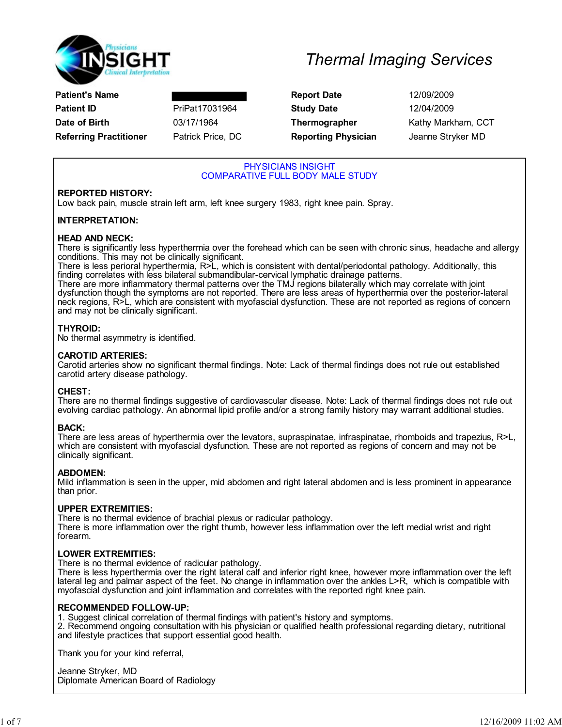

| Patient's Name                |                  |
|-------------------------------|------------------|
| Patient ID                    | PriPat1703196    |
| Date of Birth                 | 03/17/1964       |
| <b>Referring Practitioner</b> | Patrick Price, I |

**Report Date** 12/09/2009 Patient Indian Study Date 12/04/2009 DC **Reporting Physician** Jeanne Stryker MD

**Thermographer Kathy Markham, CCT** 

## PHYSICIANS INSIGHT COMPARATIVE FULL BODY MALE STUDY

## REPORTED HISTORY:

Low back pain, muscle strain left arm, left knee surgery 1983, right knee pain. Spray.

## INTERPRETATION:

### HEAD AND NECK:

There is significantly less hyperthermia over the forehead which can be seen with chronic sinus, headache and allergy conditions. This may not be clinically significant.

There is less perioral hyperthermia, R>L, which is consistent with dental/periodontal pathology. Additionally, this finding correlates with less bilateral submandibular-cervical lymphatic drainage patterns.

There are more inflammatory thermal patterns over the TMJ regions bilaterally which may correlate with joint dysfunction though the symptoms are not reported. There are less areas of hyperthermia over the posterior-lateral neck regions, R>L, which are consistent with myofascial dysfunction. These are not reported as regions of concern and may not be clinically significant.

### THYROID:

No thermal asymmetry is identified.

### CAROTID ARTERIES:

Carotid arteries show no significant thermal findings. Note: Lack of thermal findings does not rule out established carotid artery disease pathology.

### CHEST:

There are no thermal findings suggestive of cardiovascular disease. Note: Lack of thermal findings does not rule out evolving cardiac pathology. An abnormal lipid profile and/or a strong family history may warrant additional studies.

### BACK:

There are less areas of hyperthermia over the levators, supraspinatae, infraspinatae, rhomboids and trapezius, R>L, which are consistent with myofascial dysfunction. These are not reported as regions of concern and may not be clinically significant.

### ABDOMEN:

Mild inflammation is seen in the upper, mid abdomen and right lateral abdomen and is less prominent in appearance than prior.

### UPPER EXTREMITIES:

There is no thermal evidence of brachial plexus or radicular pathology. There is more inflammation over the right thumb, however less inflammation over the left medial wrist and right forearm.

## LOWER EXTREMITIES:

There is no thermal evidence of radicular pathology.

There is less hyperthermia over the right lateral calf and inferior right knee, however more inflammation over the left lateral leg and palmar aspect of the feet. No change in inflammation over the ankles L>R, which is compatible with myofascial dysfunction and joint inflammation and correlates with the reported right knee pain.

### RECOMMENDED FOLLOW-UP:

1. Suggest clinical correlation of thermal findings with patient's history and symptoms.

2. Recommend ongoing consultation with his physician or qualified health professional regarding dietary, nutritional and lifestyle practices that support essential good health.

Thank you for your kind referral,

Jeanne Stryker, MD Diplomate American Board of Radiology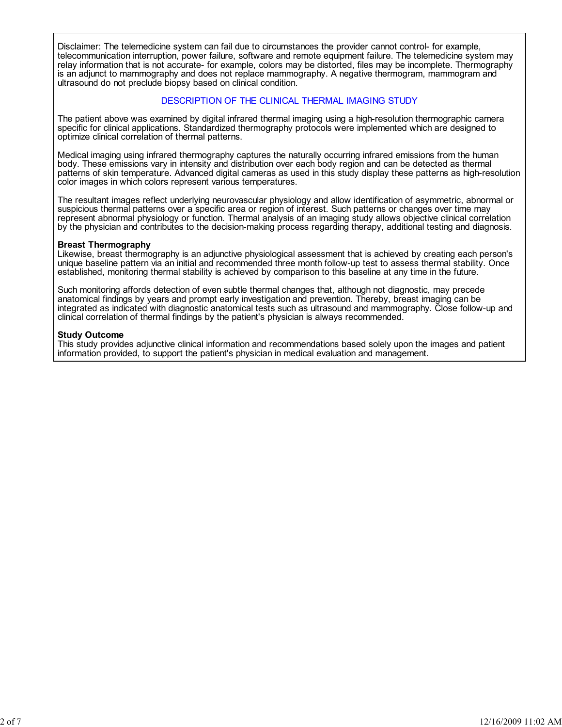Disclaimer: The telemedicine system can fail due to circumstances the provider cannot control- for example, telecommunication interruption, power failure, software and remote equipment failure. The telemedicine system may relay information that is not accurate- for example, colors may be distorted, files may be incomplete. Thermography is an adjunct to mammography and does not replace mammography. A negative thermogram, mammogram and ultrasound do not preclude biopsy based on clinical condition.

## DESCRIPTION OF THE CLINICAL THERMAL IMAGING STUDY

The patient above was examined by digital infrared thermal imaging using a high-resolution thermographic camera specific for clinical applications. Standardized thermography protocols were implemented which are designed to optimize clinical correlation of thermal patterns.

Medical imaging using infrared thermography captures the naturally occurring infrared emissions from the human body. These emissions vary in intensity and distribution over each body region and can be detected as thermal patterns of skin temperature. Advanced digital cameras as used in this study display these patterns as high-resolution color images in which colors represent various temperatures.

The resultant images reflect underlying neurovascular physiology and allow identification of asymmetric, abnormal or suspicious thermal patterns over a specific area or region of interest. Such patterns or changes over time may represent abnormal physiology or function. Thermal analysis of an imaging study allows objective clinical correlation by the physician and contributes to the decision-making process regarding therapy, additional testing and diagnosis.

#### Breast Thermography

Likewise, breast thermography is an adjunctive physiological assessment that is achieved by creating each person's unique baseline pattern via an initial and recommended three month follow-up test to assess thermal stability. Once established, monitoring thermal stability is achieved by comparison to this baseline at any time in the future.

Such monitoring affords detection of even subtle thermal changes that, although not diagnostic, may precede anatomical findings by years and prompt early investigation and prevention. Thereby, breast imaging can be integrated as indicated with diagnostic anatomical tests such as ultrasound and mammography. Close follow-up and clinical correlation of thermal findings by the patient's physician is always recommended.

#### Study Outcome

This study provides adjunctive clinical information and recommendations based solely upon the images and patient information provided, to support the patient's physician in medical evaluation and management.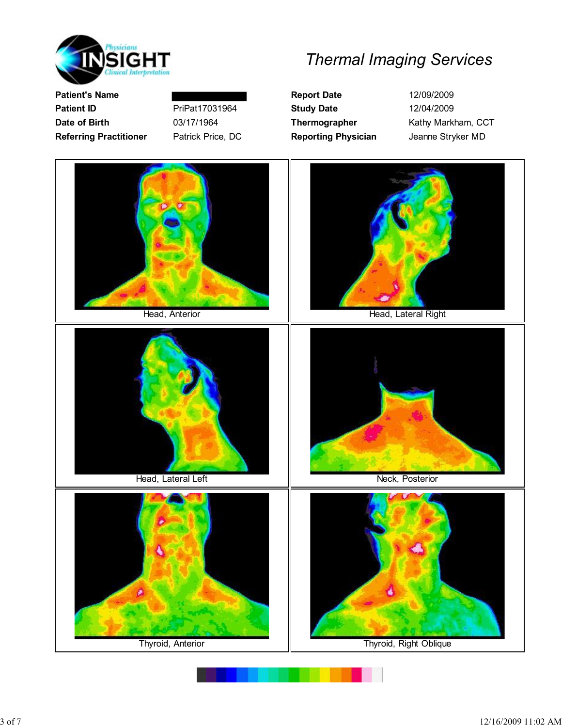

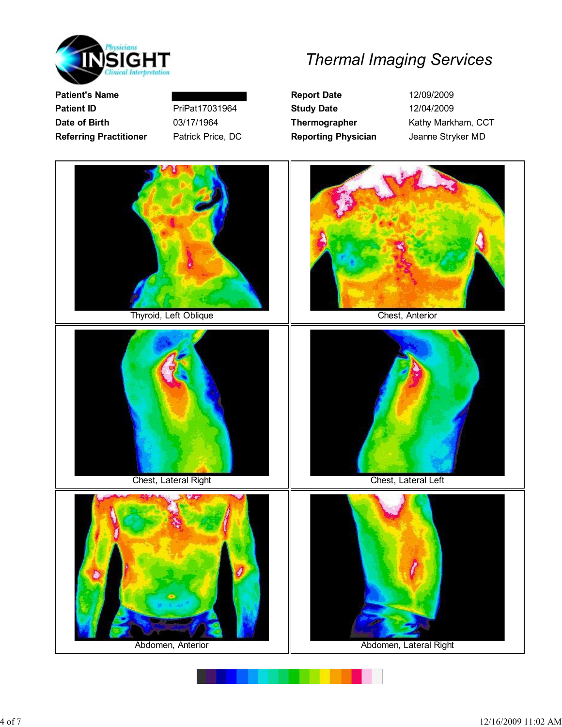

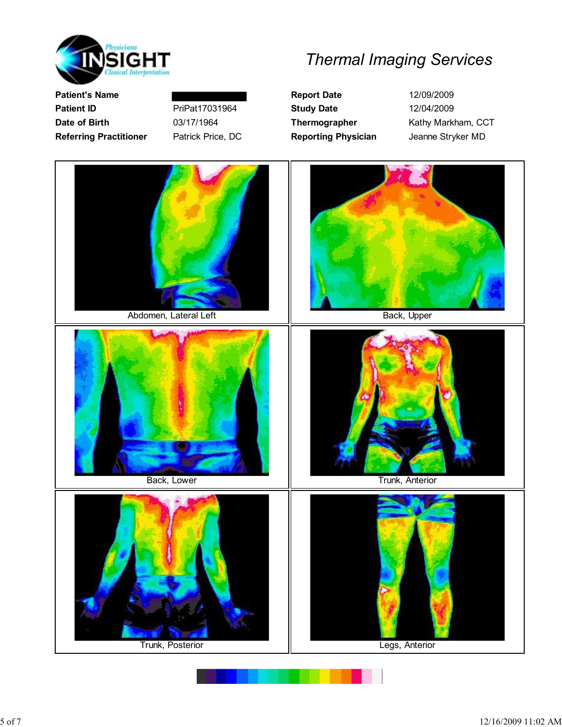

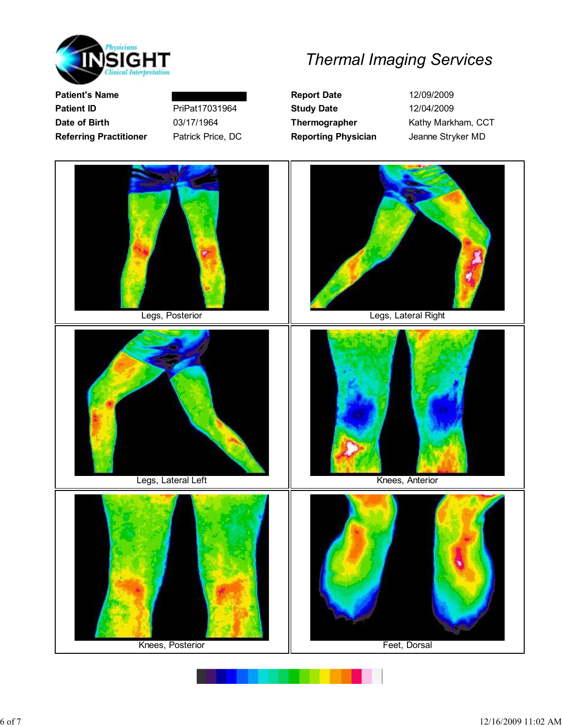